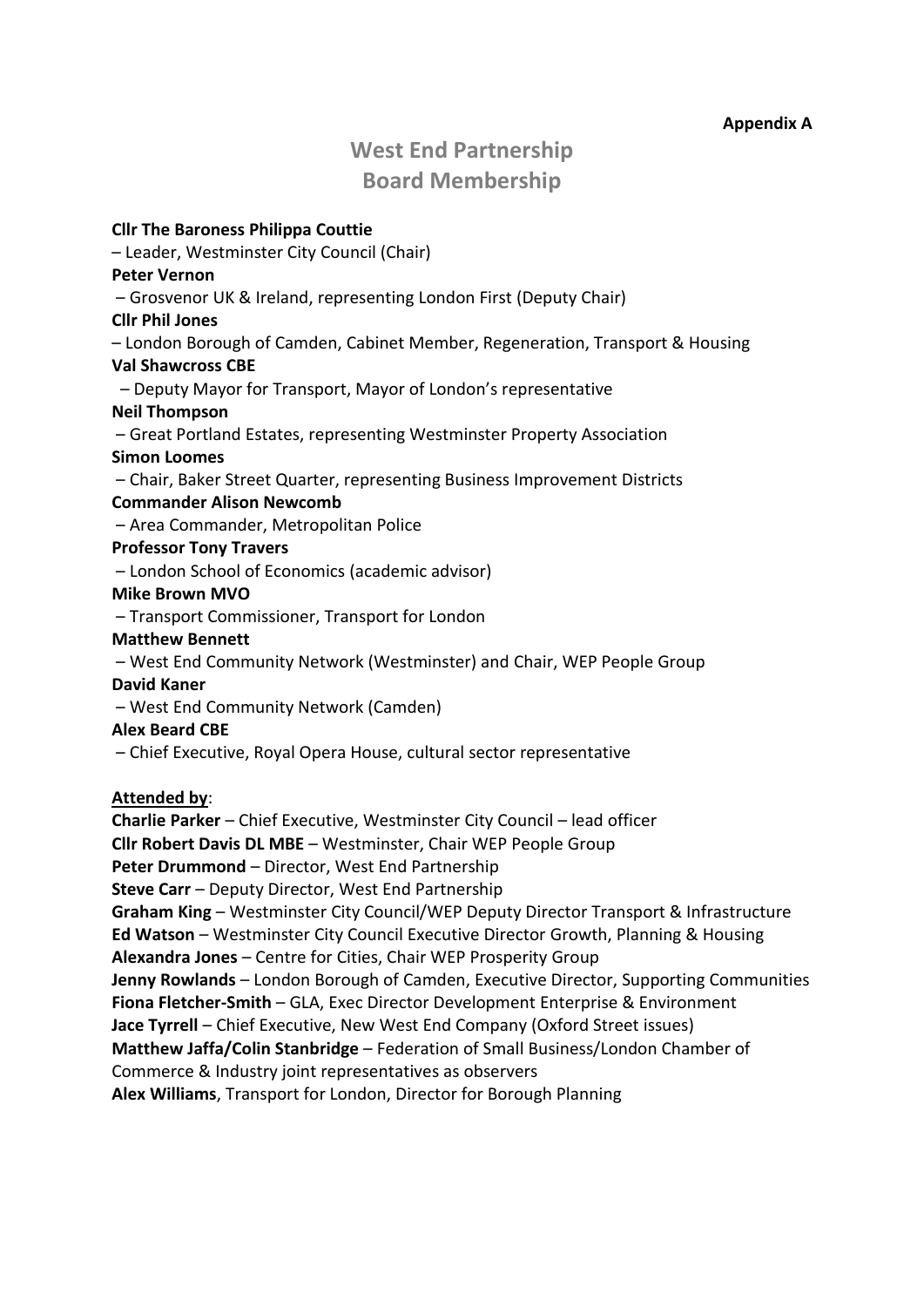# **Appendix A**

# **West End Partnership Board Membership**

**Cllr The Baroness Philippa Couttie**  – Leader, Westminster City Council (Chair) **Peter Vernon** – Grosvenor UK & Ireland, representing London First (Deputy Chair) **Cllr Phil Jones** – London Borough of Camden, Cabinet Member, Regeneration, Transport & Housing **Val Shawcross CBE** – Deputy Mayor for Transport, Mayor of London's representative **Neil Thompson** – Great Portland Estates, representing Westminster Property Association **Simon Loomes** – Chair, Baker Street Quarter, representing Business Improvement Districts **Commander Alison Newcomb** – Area Commander, Metropolitan Police **Professor Tony Travers** – London School of Economics (academic advisor) **Mike Brown MVO** – Transport Commissioner, Transport for London **Matthew Bennett** – West End Community Network (Westminster) and Chair, WEP People Group **David Kaner** – West End Community Network (Camden) **Alex Beard CBE** – Chief Executive, Royal Opera House, cultural sector representative **Attended by**: **Charlie Parker** – Chief Executive, Westminster City Council – lead officer **Cllr Robert Davis DL MBE** – Westminster, Chair WEP People Group

**Peter Drummond** – Director, West End Partnership **Steve Carr** – Deputy Director, West End Partnership **Graham King** – Westminster City Council/WEP Deputy Director Transport & Infrastructure **Ed Watson** – Westminster City Council Executive Director Growth, Planning & Housing **Alexandra Jones** – Centre for Cities, Chair WEP Prosperity Group **Jenny Rowlands** – London Borough of Camden, Executive Director, Supporting Communities **Fiona Fletcher-Smith** – GLA, Exec Director Development Enterprise & Environment **Jace Tyrrell** – Chief Executive, New West End Company (Oxford Street issues) **Matthew Jaffa/Colin Stanbridge** – Federation of Small Business/London Chamber of Commerce & Industry joint representatives as observers **Alex Williams**, Transport for London, Director for Borough Planning